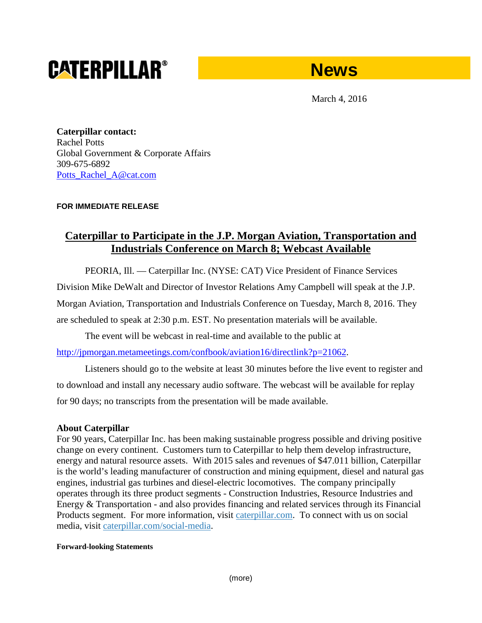# **CATERPILLAR®**



March 4, 2016

**Caterpillar contact:** Rachel Potts Global Government & Corporate Affairs 309-675-6892 [Potts\\_Rachel\\_A@cat.com](mailto:Potts_Rachel_A@cat.com)

## **FOR IMMEDIATE RELEASE**

## **Caterpillar to Participate in the J.P. Morgan Aviation, Transportation and Industrials Conference on March 8; Webcast Available**

PEORIA, Ill. — Caterpillar Inc. (NYSE: CAT) Vice President of Finance Services

Division Mike DeWalt and Director of Investor Relations Amy Campbell will speak at the J.P.

Morgan Aviation, Transportation and Industrials Conference on Tuesday, March 8, 2016. They

are scheduled to speak at 2:30 p.m. EST. No presentation materials will be available.

The event will be webcast in real-time and available to the public at

[http://jpmorgan.metameetings.com/confbook/aviation16/directlink?p=21062.](http://jpmorgan.metameetings.com/confbook/aviation16/directlink?p=21062)

Listeners should go to the website at least 30 minutes before the live event to register and to download and install any necessary audio software. The webcast will be available for replay for 90 days; no transcripts from the presentation will be made available.

## **About Caterpillar**

For 90 years, Caterpillar Inc. has been making sustainable progress possible and driving positive change on every continent. Customers turn to Caterpillar to help them develop infrastructure, energy and natural resource assets. With 2015 sales and revenues of \$47.011 billion, Caterpillar is the world's leading manufacturer of construction and mining equipment, diesel and natural gas engines, industrial gas turbines and diesel-electric locomotives. The company principally operates through its three product segments - Construction Industries, Resource Industries and Energy & Transportation - and also provides financing and related services through its Financial Products segment. For more information, visit [caterpillar.com.](http://www.caterpillar.com/en.html) To connect with us on social media, visit [caterpillar.com/social-media.](http://www.caterpillar.com/en/news/social-media.html)

#### **Forward-looking Statements**